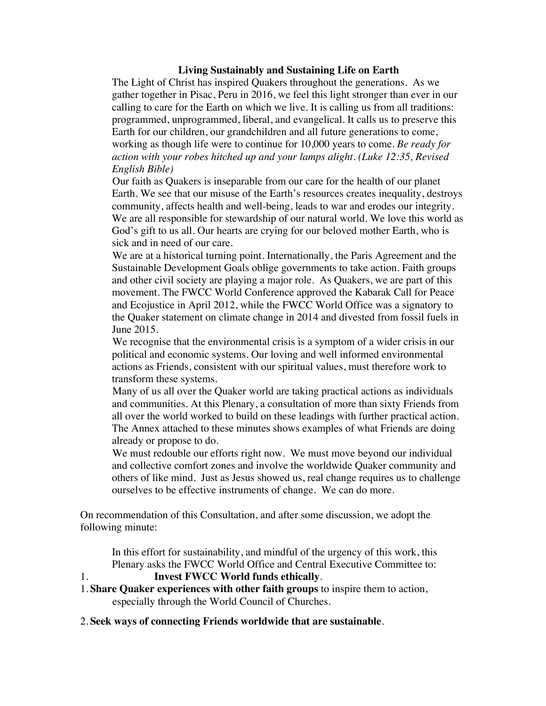## **Living Sustainably and Sustaining Life on Earth**

The Light of Christ has inspired Quakers throughout the generations. As we gather together in Pisac, Peru in 2016, we feel this light stronger than ever in our calling to care for the Earth on which we live. It is calling us from all traditions: programmed, unprogrammed, liberal, and evangelical. It calls us to preserve this Earth for our children, our grandchildren and all future generations to come, working as though life were to continue for 10,000 years to come. *Be ready for action with your robes hitched up and your lamps alight. (Luke 12:35, Revised English Bible)*

Our faith as Quakers is inseparable from our care for the health of our planet Earth. We see that our misuse of the Earth's resources creates inequality, destroys community, affects health and well-being, leads to war and erodes our integrity. We are all responsible for stewardship of our natural world. We love this world as God's gift to us all. Our hearts are crying for our beloved mother Earth, who is sick and in need of our care.

We are at a historical turning point. Internationally, the Paris Agreement and the Sustainable Development Goals oblige governments to take action. Faith groups and other civil society are playing a major role. As Quakers, we are part of this movement. The FWCC World Conference approved the Kabarak Call for Peace and Ecojustice in April 2012, while the FWCC World Office was a signatory to the Quaker statement on climate change in 2014 and divested from fossil fuels in June 2015.

We recognise that the environmental crisis is a symptom of a wider crisis in our political and economic systems. Our loving and well informed environmental actions as Friends, consistent with our spiritual values, must therefore work to transform these systems.

Many of us all over the Quaker world are taking practical actions as individuals and communities. At this Plenary, a consultation of more than sixty Friends from all over the world worked to build on these leadings with further practical action. The Annex attached to these minutes shows examples of what Friends are doing already or propose to do.

We must redouble our efforts right now. We must move beyond our individual and collective comfort zones and involve the worldwide Quaker community and others of like mind. Just as Jesus showed us, real change requires us to challenge ourselves to be effective instruments of change. We can do more.

On recommendation of this Consultation, and after some discussion, we adopt the following minute:

In this effort for sustainability, and mindful of the urgency of this work, this Plenary asks the FWCC World Office and Central Executive Committee to:

## 1. **Invest FWCC World funds ethically**.

- 1. **Share Quaker experiences with other faith groups** to inspire them to action, especially through the World Council of Churches.
- 2. **Seek ways of connecting Friends worldwide that are sustainable**.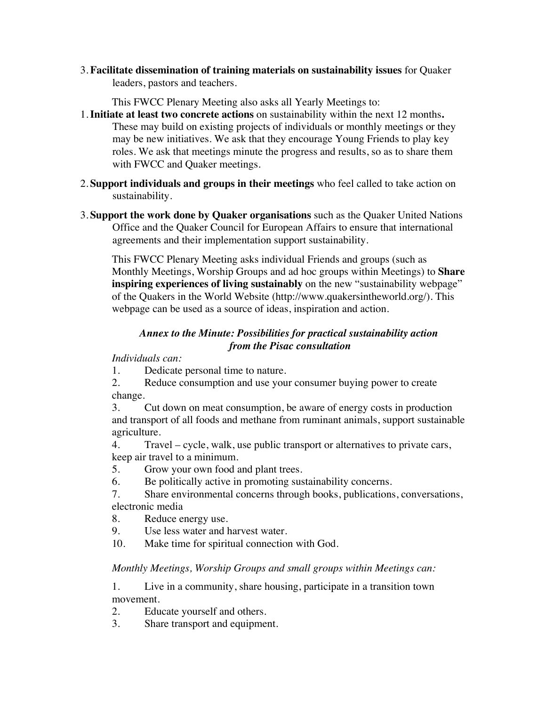3. **Facilitate dissemination of training materials on sustainability issues** for Quaker leaders, pastors and teachers.

This FWCC Plenary Meeting also asks all Yearly Meetings to:

- 1.**Initiate at least two concrete actions** on sustainability within the next 12 months**.** These may build on existing projects of individuals or monthly meetings or they may be new initiatives. We ask that they encourage Young Friends to play key roles. We ask that meetings minute the progress and results, so as to share them with FWCC and Quaker meetings.
- 2. **Support individuals and groups in their meetings** who feel called to take action on sustainability.
- 3. **Support the work done by Quaker organisations** such as the Quaker United Nations Office and the Quaker Council for European Affairs to ensure that international agreements and their implementation support sustainability.

This FWCC Plenary Meeting asks individual Friends and groups (such as Monthly Meetings, Worship Groups and ad hoc groups within Meetings) to **Share inspiring experiences of living sustainably** on the new "sustainability webpage" of the Quakers in the World Website (http://www.quakersintheworld.org/). This webpage can be used as a source of ideas, inspiration and action.

## *Annex to the Minute: Possibilities for practical sustainability action from the Pisac consultation*

*Individuals can:*

- 1. Dedicate personal time to nature.
- 2. Reduce consumption and use your consumer buying power to create change.
- 3. Cut down on meat consumption, be aware of energy costs in production and transport of all foods and methane from ruminant animals, support sustainable agriculture.
- 4. Travel cycle, walk, use public transport or alternatives to private cars, keep air travel to a minimum.
- 5. Grow your own food and plant trees.
- 6. Be politically active in promoting sustainability concerns.
- 7. Share environmental concerns through books, publications, conversations, electronic media
- 8. Reduce energy use.
- 9. Use less water and harvest water.
- 10. Make time for spiritual connection with God.

## *Monthly Meetings, Worship Groups and small groups within Meetings can:*

1. Live in a community, share housing, participate in a transition town movement.

2. Educate yourself and others.

3. Share transport and equipment.